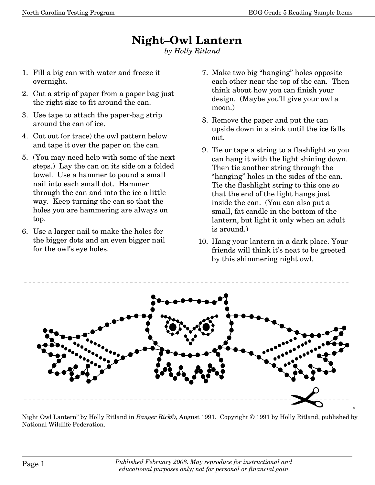## **Night—Owl Lantern**

*by Holly Ritland* 

- 1. Fill a big can with water and freeze it overnight.
- 2. Cut a strip of paper from a paper bag just the right size to fit around the can.
- 3. Use tape to attach the paper-bag strip around the can of ice.
- 4. Cut out (or trace) the owl pattern below and tape it over the paper on the can.
- 5. (You may need help with some of the next steps.) Lay the can on its side on a folded towel. Use a hammer to pound a small nail into each small dot. Hammer through the can and into the ice a little way. Keep turning the can so that the holes you are hammering are always on top.
- 6. Use a larger nail to make the holes for the bigger dots and an even bigger nail for the owl's eye holes.
- 7. Make two big "hanging" holes opposite each other near the top of the can. Then think about how you can finish your design. (Maybe you'll give your owl a moon.)
- 8. Remove the paper and put the can upside down in a sink until the ice falls out.
- 9. Tie or tape a string to a flashlight so you can hang it with the light shining down. Then tie another string through the "hanging" holes in the sides of the can. Tie the flashlight string to this one so that the end of the light hangs just inside the can. (You can also put a small, fat candle in the bottom of the lantern, but light it only when an adult is around.)
- 10. Hang your lantern in a dark place. Your friends will think it's neat to be greeted by this shimmering night owl.



Night Owl Lantern" by Holly Ritland in *Ranger Rick®*, August 1991. Copyright © 1991 by Holly Ritland, published by National Wildlife Federation.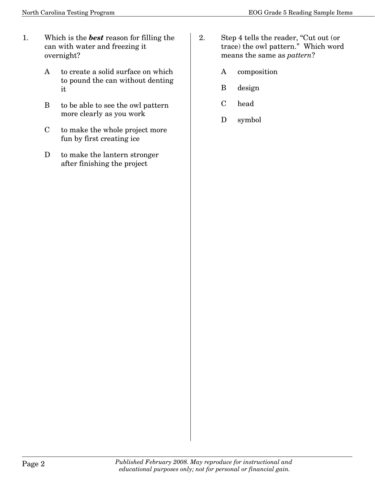- 1. Which is the *best* reason for filling the can with water and freezing it overnight?
	- A to create a solid surface on which to pound the can without denting it
	- B to be able to see the owl pattern more clearly as you work
	- C to make the whole project more fun by first creating ice
	- D to make the lantern stronger after finishing the project
- 2. Step 4 tells the reader, "Cut out (or trace) the owl pattern." Which word means the same as *pattern*?
	- A composition
	- B design
	- C head
	- D symbol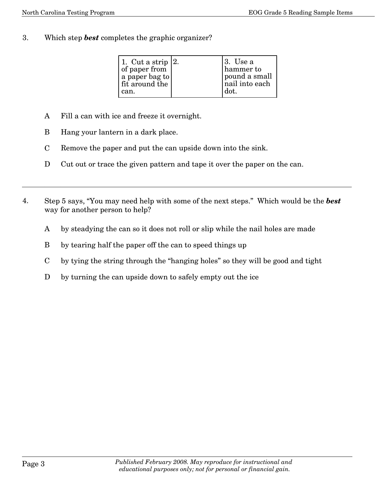3. Which step *best* completes the graphic organizer?

| 1. Cut a strip $ 2$ .<br>of paper from<br>a paper bag to<br>fit around the<br>can. | 13. Use a<br>hammer to<br>pound a small<br>nail into each<br>dot. |
|------------------------------------------------------------------------------------|-------------------------------------------------------------------|
|                                                                                    |                                                                   |

- A Fill a can with ice and freeze it overnight.
- B Hang your lantern in a dark place.
- C Remove the paper and put the can upside down into the sink.
- D Cut out or trace the given pattern and tape it over the paper on the can.
- 4. Step 5 says, "You may need help with some of the next steps." Which would be the *best* way for another person to help?
	- A by steadying the can so it does not roll or slip while the nail holes are made
	- B by tearing half the paper off the can to speed things up
	- C by tying the string through the "hanging holes" so they will be good and tight
	- D by turning the can upside down to safely empty out the ice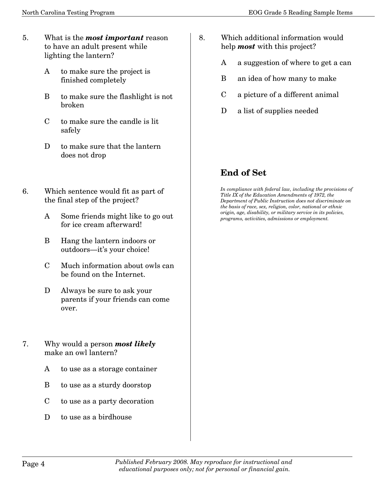- 5. What is the *most important* reason to have an adult present while lighting the lantern?
	- A to make sure the project is finished completely
	- B to make sure the flashlight is not broken
	- $C$  to make sure the candle is lit safely
	- D to make sure that the lantern does not drop
- 6. Which sentence would fit as part of the final step of the project?
	- A Some friends might like to go out for ice cream afterward!
	- B Hang the lantern indoors or outdoors–it's your choice!
	- C Much information about owls can be found on the Internet.
	- D Always be sure to ask your parents if your friends can come over.
- 7. Why would a person *most likely* make an owl lantern?
	- A to use as a storage container
	- B to use as a sturdy doorstop
	- C to use as a party decoration
	- D to use as a birdhouse
- 8. Which additional information would help *most* with this project?
	- A a suggestion of where to get a can
	- B an idea of how many to make
	- C a picture of a different animal
	- D a list of supplies needed

## **End of Set**

*In compliance with federal law, including the provisions of Title IX of the Education Amendments of 1972, the Department of Public Instruction does not discriminate on the basis of race, sex, religion, color, national or ethnic origin, age, disability, or military service in its policies, programs, activities, admissions or employment.*